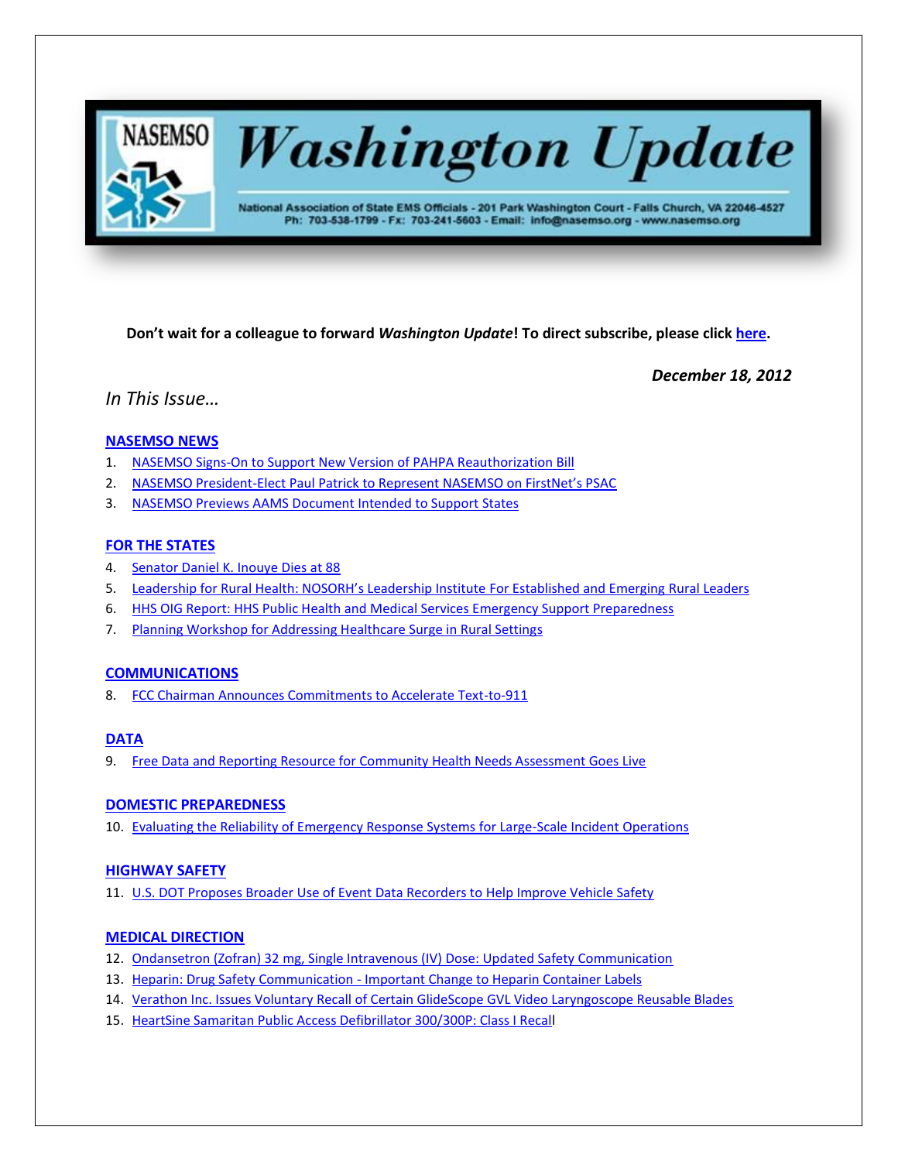

# **Washington Update**

National Association of State EMS Officials - 201 Park Washington Court - Falls Church, VA 22046-4527 Ph: 703-538-1799 - Fx: 703-241-5603 - Email: info@nasemso.org - www.nasemso.org

**Don't wait for a colleague to forward** *Washington Update***! To direct subscribe, please click [here.](http://lists.nasemso.org/read/all_forums/subscribe?name=wu%20)**

*December 18, 2012*

*In This Issue…*

# **[NASEMSO NEWS](#page-1-0)**

- 1. [NASEMSO Signs-On to Support New Version of PAHPA Reauthorization Bill](#page-1-0)
- 2. NASEMSO President-[Elect Paul Patrick to Represent NASEMSO on FirstNet's PSAC](#page-1-1)
- 3. [NASEMSO Previews AAMS Document Intended to Support](#page-2-0) States

# **[FOR THE STATES](#page-2-1)**

- 4. [Senator Daniel K. Inouye](#page-2-1) Dies at 88
- 5. [Leadership for Rural Health: NOSORH's Leadership Institute](#page-2-2) For Established and Emerging Rural Leaders
- 6. [HHS OIG Report: HHS Public Health and Medical Services Emergency Support Preparedness](#page-2-3)
- 7. [Planning Workshop for Addressing Healthcare Surge in Rural Settings](#page-3-0)

# **[COMMUNICATIONS](#page-3-1)**

8. FCC Chairman [Announces Commitments to Accelerate Text-to-911](#page-3-2)

# **[DATA](#page-3-3)**

9. [Free Data and Reporting Resource for Community Health Needs Assessment Goes Live](#page-3-4)

# **[DOMESTIC PREPAREDNESS](#page-3-5)**

10. [Evaluating the Reliability of Emergency Response Systems for Large-Scale Incident Operations](#page-3-6)

# **[HIGHWAY SAFETY](#page-3-7)**

11. [U.S. DOT Proposes Broader Use of Event Data Recorders to Help Improve Vehicle Safety](#page-3-7)

# **MEDICAL [DIRECTION](#page-4-0)**

- 12. [Ondansetron \(Zofran\) 32 mg, Single Intravenous \(IV\) Dose: Updated Safety Communication](#page-4-0)
- 13. Heparin: Drug Safety Communication [Important Change to Heparin Container Labels](#page-4-1)
- 14. [Verathon Inc. Issues Voluntary Recall of Certain GlideScope GVL Video Laryngoscope Reusable Blades](#page-4-2)
- 15. [HeartSine Samaritan Public Access Defibrillator 300/300P: Class I Recall](#page-4-3)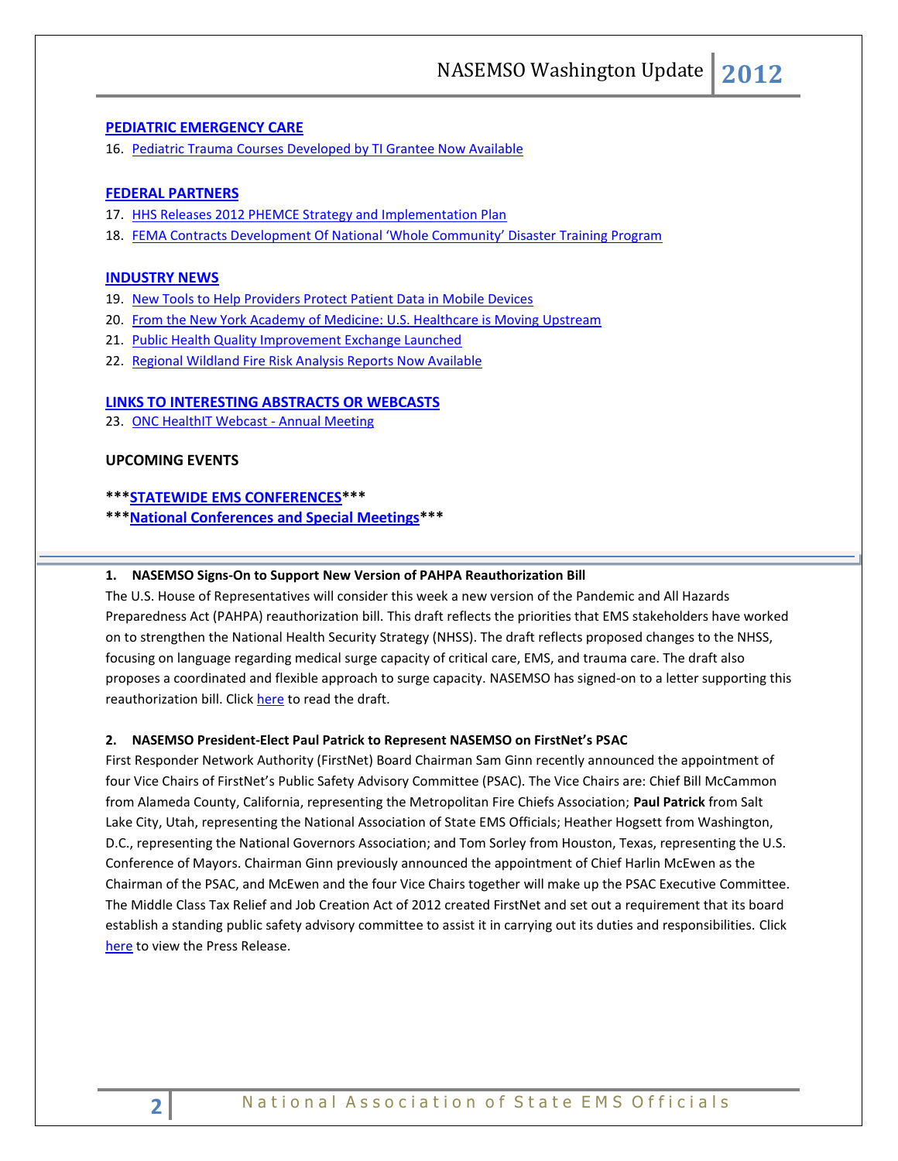#### **[PEDIATRIC EMERGENCY CARE](#page-4-4)**

16. [Pediatric Trauma Courses Developed by TI Grantee Now Available](#page-4-5)

#### **[FEDERAL PARTNERS](#page-4-6)**

- 17. [HHS Releases 2012 PHEMCE Strategy and Implementation Plan](#page-4-7)
- 18. [FEMA Contracts Development Of National 'Whole Community' Disaster Training Program](#page-5-0)

#### **[INDUSTRY NEWS](#page-5-1)**

- 19. [New Tools to Help Providers Protect Patient Data in Mobile Devices](#page-5-2)
- 20. [From the New York Academy of Medicine: U.S. Healthcare is Moving Upstream](#page-5-3)
- 21. [Public Health Quality Improvement Exchange Launched](#page-5-4)
- 22. [Regional Wildland Fire Risk Analysis Reports Now Available](#page-5-5)

#### **[LINKS TO INTERESTING ABSTRACTS OR WEBCASTS](#page-6-0)**

23. [ONC HealthIT Webcast -](#page-6-1) Annual Meeting

## **UPCOMING EVENTS**

- **\*\*[\\*STATEWIDE EMS CONFERENCES\\*](#page-6-2)\*\***
- **\*\*[\\*National Conferences and Special Meetings\\*](#page-6-3)\*\***

#### <span id="page-1-0"></span>**1. NASEMSO Signs-On to Support New Version of PAHPA Reauthorization Bill**

The U.S. House of Representatives will consider this week a new version of the Pandemic and All Hazards Preparedness Act (PAHPA) reauthorization bill. This draft reflects the priorities that EMS stakeholders have worked on to strengthen the National Health Security Strategy (NHSS). The draft reflects proposed changes to the NHSS, focusing on language regarding medical surge capacity of critical care, EMS, and trauma care. The draft also proposes a coordinated and flexible approach to surge capacity. NASEMSO has signed-on to a letter supporting this reauthorization bill. Click [here](https://www.nasemso.org/documents/PAHPAReauthorizationChangesDec2012.pdf) to read the draft.

#### <span id="page-1-1"></span>**2. NASEMSO President-Elect Paul Patrick to Represent NASEMSO on FirstNet's PSAC**

First Responder Network Authority (FirstNet) Board Chairman Sam Ginn recently announced the appointment of four Vice Chairs of FirstNet's Public Safety Advisory Committee (PSAC). The Vice Chairs are: Chief Bill McCammon from Alameda County, California, representing the Metropolitan Fire Chiefs Association; **Paul Patrick** from Salt Lake City, Utah, representing the National Association of State EMS Officials; Heather Hogsett from Washington, D.C., representing the National Governors Association; and Tom Sorley from Houston, Texas, representing the U.S. Conference of Mayors. Chairman Ginn previously announced the appointment of Chief Harlin McEwen as the Chairman of the PSAC, and McEwen and the four Vice Chairs together will make up the PSAC Executive Committee. The Middle Class Tax Relief and Job Creation Act of 2012 created FirstNet and set out a requirement that its board establish a standing public safety advisory committee to assist it in carrying out its duties and responsibilities. Click [here](https://www.nasemso.org/documents/PSAC-EC-Announcement112012.pdf) to view the Press Release.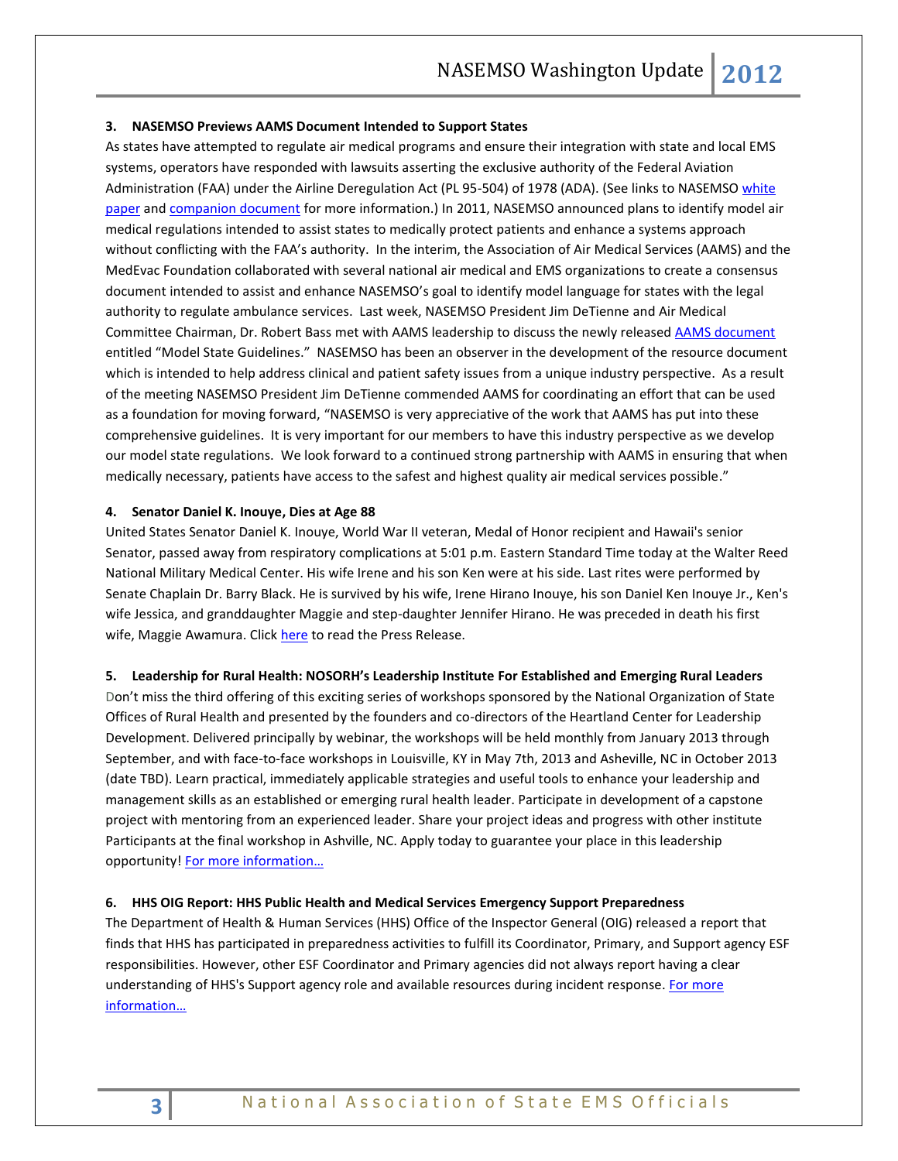#### <span id="page-2-0"></span>**3. NASEMSO Previews AAMS Document Intended to Support States**

As states have attempted to regulate air medical programs and ensure their integration with state and local EMS systems, operators have responded with lawsuits asserting the exclusive authority of the Federal Aviation Administration (FAA) under the Airline Deregulation Act (PL 95-504) of 1978 (ADA). (See links to NASEMSO white [paper](http://www.nasemso.org/Projects/AirMedical/documents/AirAmbAdvocacyWhitePaper.pdf) an[d companion document](http://www.nasemso.org/projects/airmedical/documents/HelicopterEMS.pdf) for more information.) In 2011, NASEMSO announced plans to identify model air medical regulations intended to assist states to medically protect patients and enhance a systems approach without conflicting with the FAA's authority. In the interim, the Association of Air Medical Services (AAMS) and the MedEvac Foundation collaborated with several national air medical and EMS organizations to create a consensus document intended to assist and enhance NASEMSO's goal to identify model language for states with the legal authority to regulate ambulance services. Last week, NASEMSO President Jim DeTienne and Air Medical Committee Chairman, Dr. Robert Bass met with AAMS leadership to discuss the newly released [AAMS document](http://www.aams.org/aams/PublicationsProducts/ResourceDocuments/Model_State_Guidelines_2012.aspx) entitled "Model State Guidelines." NASEMSO has been an observer in the development of the resource document which is intended to help address clinical and patient safety issues from a unique industry perspective. As a result of the meeting NASEMSO President Jim DeTienne commended AAMS for coordinating an effort that can be used as a foundation for moving forward, "NASEMSO is very appreciative of the work that AAMS has put into these comprehensive guidelines. It is very important for our members to have this industry perspective as we develop our model state regulations. We look forward to a continued strong partnership with AAMS in ensuring that when medically necessary, patients have access to the safest and highest quality air medical services possible."

#### <span id="page-2-1"></span>**4. Senator Daniel K. Inouye, Dies at Age 88**

United States Senator Daniel K. Inouye, World War II veteran, Medal of Honor recipient and Hawaii's senior Senator, passed away from respiratory complications at 5:01 p.m. Eastern Standard Time today at the Walter Reed National Military Medical Center. His wife Irene and his son Ken were at his side. Last rites were performed by Senate Chaplain Dr. Barry Black. He is survived by his wife, Irene Hirano Inouye, his son Daniel Ken Inouye Jr., Ken's wife Jessica, and granddaughter Maggie and step-daughter Jennifer Hirano. He was preceded in death his first wife, Maggie Awamura. Clic[k here](http://www.inouye.senate.gov/news/press-releases/statement-on-the-passing-of-senator-daniel-k-inouye) to read the Press Release.

#### <span id="page-2-2"></span>**5. Leadership for Rural Health: NOSORH's Leadership Institute For Established and Emerging Rural Leaders**

Don't miss the third offering of this exciting series of workshops sponsored by the National Organization of State Offices of Rural Health and presented by the founders and co-directors of the Heartland Center for Leadership Development. Delivered principally by webinar, the workshops will be held monthly from January 2013 through September, and with face‐to‐face workshops in Louisville, KY in May 7th, 2013 and Asheville, NC in October 2013 (date TBD). Learn practical, immediately applicable strategies and useful tools to enhance your leadership and management skills as an established or emerging rural health leader. Participate in development of a capstone project with mentoring from an experienced leader. Share your project ideas and progress with other institute Participants at the final workshop in Ashville, NC. Apply today to guarantee your place in this leadership opportunity! For more information...

#### <span id="page-2-3"></span>**6. HHS OIG Report: HHS Public Health and Medical Services Emergency Support Preparedness**

The Department of Health & Human Services (HHS) Office of the Inspector General (OIG) released a report that finds that HHS has participated in preparedness activities to fulfill its Coordinator, Primary, and Support agency ESF responsibilities. However, other ESF Coordinator and Primary agencies did not always report having a clear understanding of HHS's Support agency role and available resources during incident response. For more [information…](https://oig.hhs.gov/oei/reports/oei-04-11-00260.asp)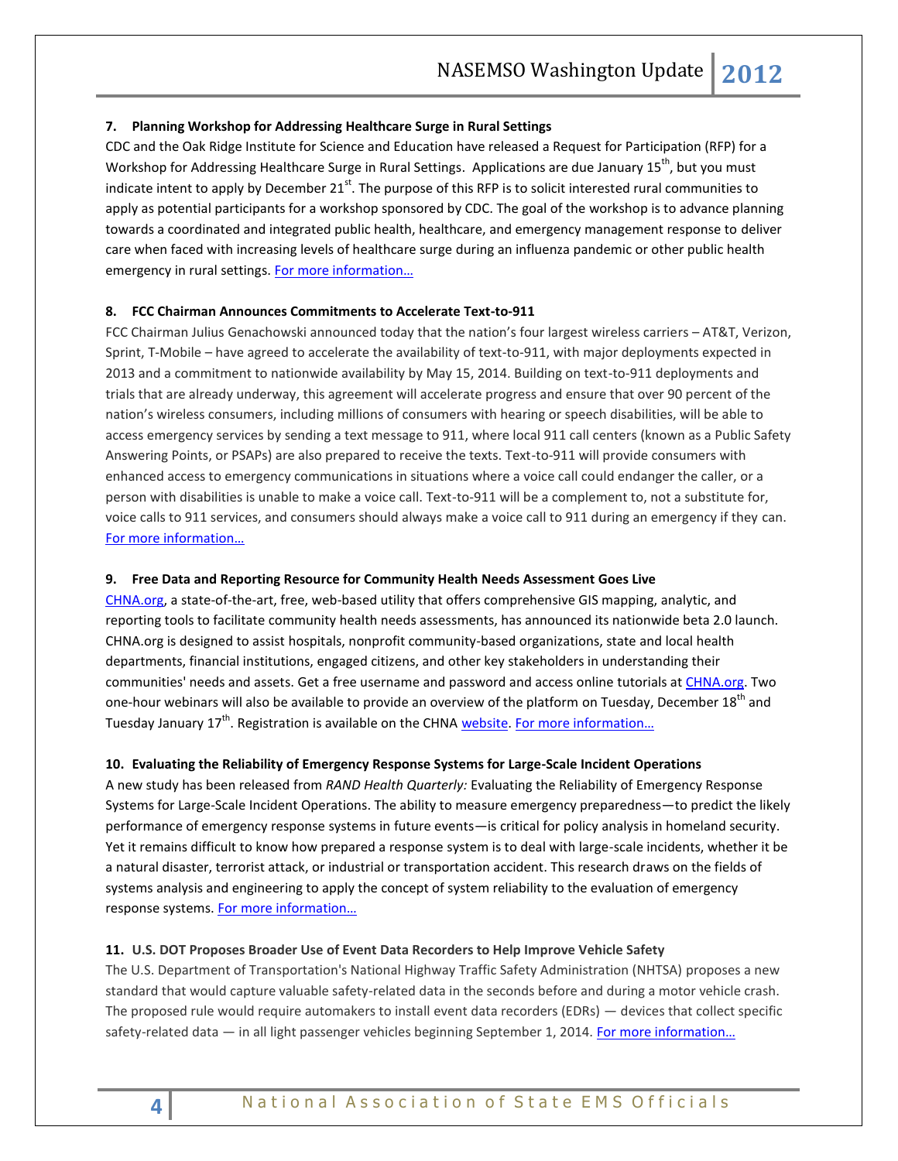#### <span id="page-3-1"></span><span id="page-3-0"></span>**7. Planning Workshop for Addressing Healthcare Surge in Rural Settings**

CDC and the Oak Ridge Institute for Science and Education have released a Request for Participation (RFP) for a Workshop for Addressing Healthcare Surge in Rural Settings. Applications are due January 15<sup>th</sup>, but you must indicate intent to apply by December  $21^{st}$ . The purpose of this RFP is to solicit interested rural communities to apply as potential participants for a workshop sponsored by CDC. The goal of the workshop is to advance planning towards a coordinated and integrated public health, healthcare, and emergency management response to deliver care when faced with increasing levels of healthcare surge during an influenza pandemic or other public health emergency in rural settings. For more information...

# <span id="page-3-2"></span>**8. FCC Chairman Announces Commitments to Accelerate Text-to-911**

FCC Chairman Julius Genachowski announced today that the nation's four largest wireless carriers – AT&T, Verizon, Sprint, T-Mobile – have agreed to accelerate the availability of text-to-911, with major deployments expected in 2013 and a commitment to nationwide availability by May 15, 2014. Building on text-to-911 deployments and trials that are already underway, this agreement will accelerate progress and ensure that over 90 percent of the nation's wireless consumers, including millions of consumers with hearing or speech disabilities, will be able to access emergency services by sending a text message to 911, where local 911 call centers (known as a Public Safety Answering Points, or PSAPs) are also prepared to receive the texts. Text-to-911 will provide consumers with enhanced access to emergency communications in situations where a voice call could endanger the caller, or a person with disabilities is unable to make a voice call. Text-to-911 will be a complement to, not a substitute for, voice calls to 911 services, and consumers should always make a voice call to 911 during an emergency if they can. [For more information…](http://www.fcc.gov/document/chairman-genachowski-announces-commitments-accelerate-text-911)

#### <span id="page-3-4"></span><span id="page-3-3"></span>**9. Free Data and Reporting Resource for Community Health Needs Assessment Goes Live**

[CHNA.org,](http://www.chna.org/) a state-of-the-art, free, web-based utility that offers comprehensive GIS mapping, analytic, and reporting tools to facilitate community health needs assessments, has announced its nationwide beta 2.0 launch. CHNA.org is designed to assist hospitals, nonprofit community-based organizations, state and local health departments, financial institutions, engaged citizens, and other key stakeholders in understanding their communities' needs and assets. Get a free username and password and access online tutorials at [CHNA.org.](http://www.chna.org/) Two one-hour webinars will also be available to provide an overview of the platform on Tuesday, December 18<sup>th</sup> and Tuesday January  $17<sup>th</sup>$ . Registration is available on the CHN[A website.](http://www.chna.org/) For more information...

#### <span id="page-3-6"></span><span id="page-3-5"></span>**10. Evaluating the Reliability of Emergency Response Systems for Large-Scale Incident Operations**

A new study has been released from *RAND Health Quarterly:* Evaluating the Reliability of Emergency Response Systems for Large-Scale Incident Operations. The ability to measure emergency preparedness—to predict the likely performance of emergency response systems in future events—is critical for policy analysis in homeland security. Yet it remains difficult to know how prepared a response system is to deal with large-scale incidents, whether it be a natural disaster, terrorist attack, or industrial or transportation accident. This research draws on the fields of systems analysis and engineering to apply the concept of system reliability to the evaluation of emergency response systems. For more [information…](http://www.rand.org/pubs/periodicals/health-quarterly/issues/v2/n3/08.html)

#### <span id="page-3-7"></span>**11. U.S. DOT Proposes Broader Use of Event Data Recorders to Help Improve Vehicle Safety**

The U.S. Department of Transportation's National Highway Traffic Safety Administration (NHTSA) proposes a new standard that would capture valuable safety-related data in the seconds before and during a motor vehicle crash. The proposed rule would require automakers to install event data recorders (EDRs) — devices that collect specific safety-related data - in all light passenger vehicles beginning September 1, 2014. For more information...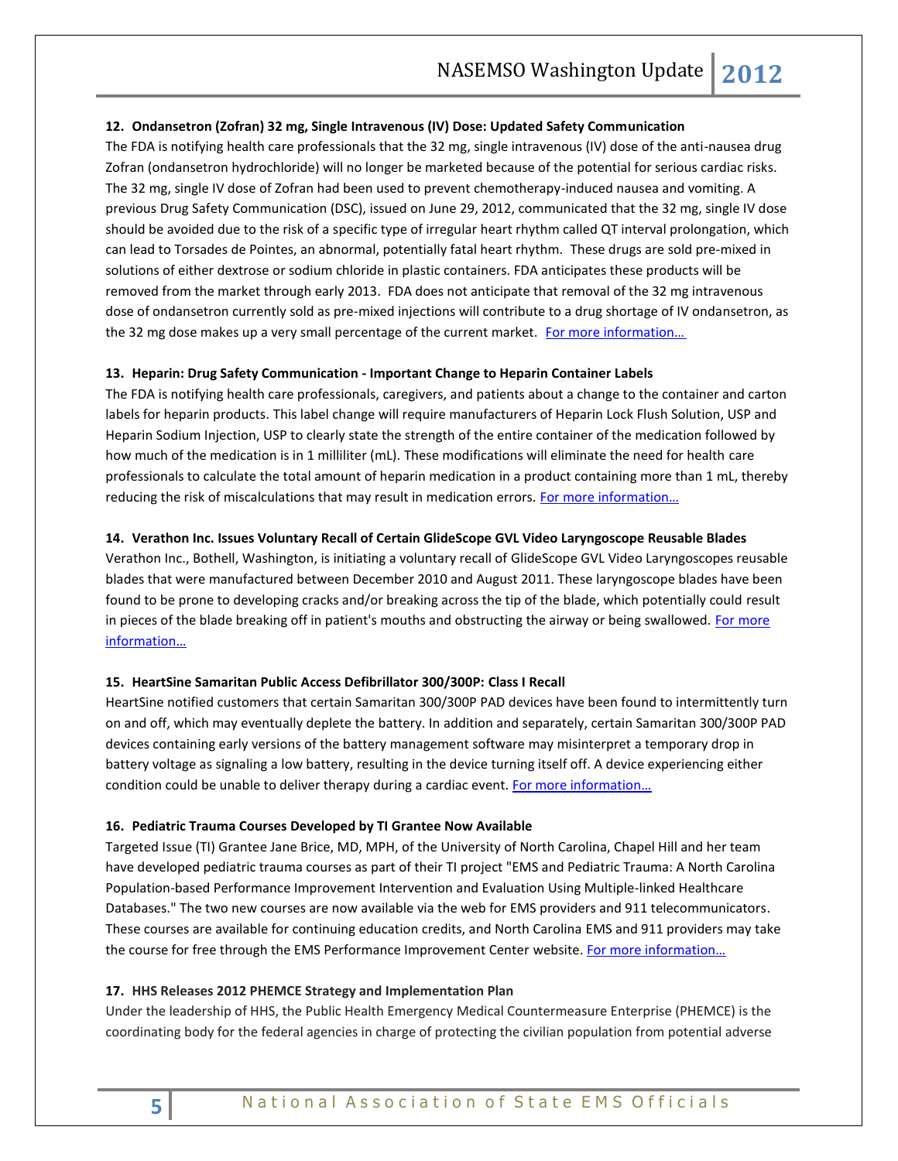#### <span id="page-4-0"></span>**12. Ondansetron (Zofran) 32 mg, Single Intravenous (IV) Dose: Updated Safety Communication**

The FDA is notifying health care professionals that the 32 mg, single intravenous (IV) dose of the anti-nausea drug Zofran (ondansetron hydrochloride) will no longer be marketed because of the potential for serious cardiac risks. The 32 mg, single IV dose of Zofran had been used to prevent chemotherapy-induced nausea and vomiting. A previous Drug Safety Communication (DSC), issued on June 29, 2012, communicated that the 32 mg, single IV dose should be avoided due to the risk of a specific type of irregular heart rhythm called QT interval prolongation, which can lead to Torsades de Pointes, an abnormal, potentially fatal heart rhythm. These drugs are sold pre-mixed in solutions of either dextrose or sodium chloride in plastic containers. FDA anticipates these products will be removed from the market through early 2013. FDA does not anticipate that removal of the 32 mg intravenous dose of ondansetron currently sold as pre-mixed injections will contribute to a drug shortage of IV ondansetron, as the 32 mg dose makes up a very small percentage of the current market. For more information...

#### <span id="page-4-1"></span>**13. Heparin: Drug Safety Communication - Important Change to Heparin Container Labels**

The FDA is notifying health care professionals, caregivers, and patients about a change to the container and carton labels for heparin products. This label change will require manufacturers of Heparin Lock Flush Solution, USP and Heparin Sodium Injection, USP to clearly state the strength of the entire container of the medication followed by how much of the medication is in 1 milliliter (mL). These modifications will eliminate the need for health care professionals to calculate the total amount of heparin medication in a product containing more than 1 mL, thereby reducing the risk of miscalculations that may result in medication errors. For more information...

#### <span id="page-4-2"></span>**14. Verathon Inc. Issues Voluntary Recall of Certain GlideScope GVL Video Laryngoscope Reusable Blades**

Verathon Inc., Bothell, Washington, is initiating a voluntary recall of GlideScope GVL Video Laryngoscopes reusable blades that were manufactured between December 2010 and August 2011. These laryngoscope blades have been found to be prone to developing cracks and/or breaking across the tip of the blade, which potentially could result in pieces of the blade breaking off in patient's mouths and obstructing the airway or being swallowed. For more [information…](http://www.fda.gov/Safety/Recalls/ucm330305.htm)

#### <span id="page-4-3"></span>**15. HeartSine Samaritan Public Access Defibrillator 300/300P: Class I Recall**

HeartSine notified customers that certain Samaritan 300/300P PAD devices have been found to intermittently turn on and off, which may eventually deplete the battery. In addition and separately, certain Samaritan 300/300P PAD devices containing early versions of the battery management software may misinterpret a temporary drop in battery voltage as signaling a low battery, resulting in the device turning itself off. A device experiencing either condition could be unable to deliver therapy during a cardiac event. For more information...

#### <span id="page-4-5"></span><span id="page-4-4"></span>**16. Pediatric Trauma Courses Developed by TI Grantee Now Available**

Targeted Issue (TI) Grantee Jane Brice, MD, MPH, of the University of North Carolina, Chapel Hill and her team have developed pediatric trauma courses as part of their TI project "EMS and Pediatric Trauma: A North Carolina Population-based Performance Improvement Intervention and Evaluation Using Multiple-linked Healthcare Databases." The two new courses are now available via the web for EMS providers and 911 telecommunicators. These courses are available for continuing education credits, and North Carolina EMS and 911 providers may take the course for free through the EMS Performance Improvement Center website. [For more infor](http://www.emspic.org/news/free-continuing-education-courses-pediatric-trauma-ems-providers-and-911-telecommunicators)mation...

#### <span id="page-4-7"></span><span id="page-4-6"></span>**17. HHS Releases 2012 PHEMCE Strategy and Implementation Plan**

Under the leadership of HHS, the Public Health Emergency Medical Countermeasure Enterprise (PHEMCE) is the coordinating body for the federal agencies in charge of protecting the civilian population from potential adverse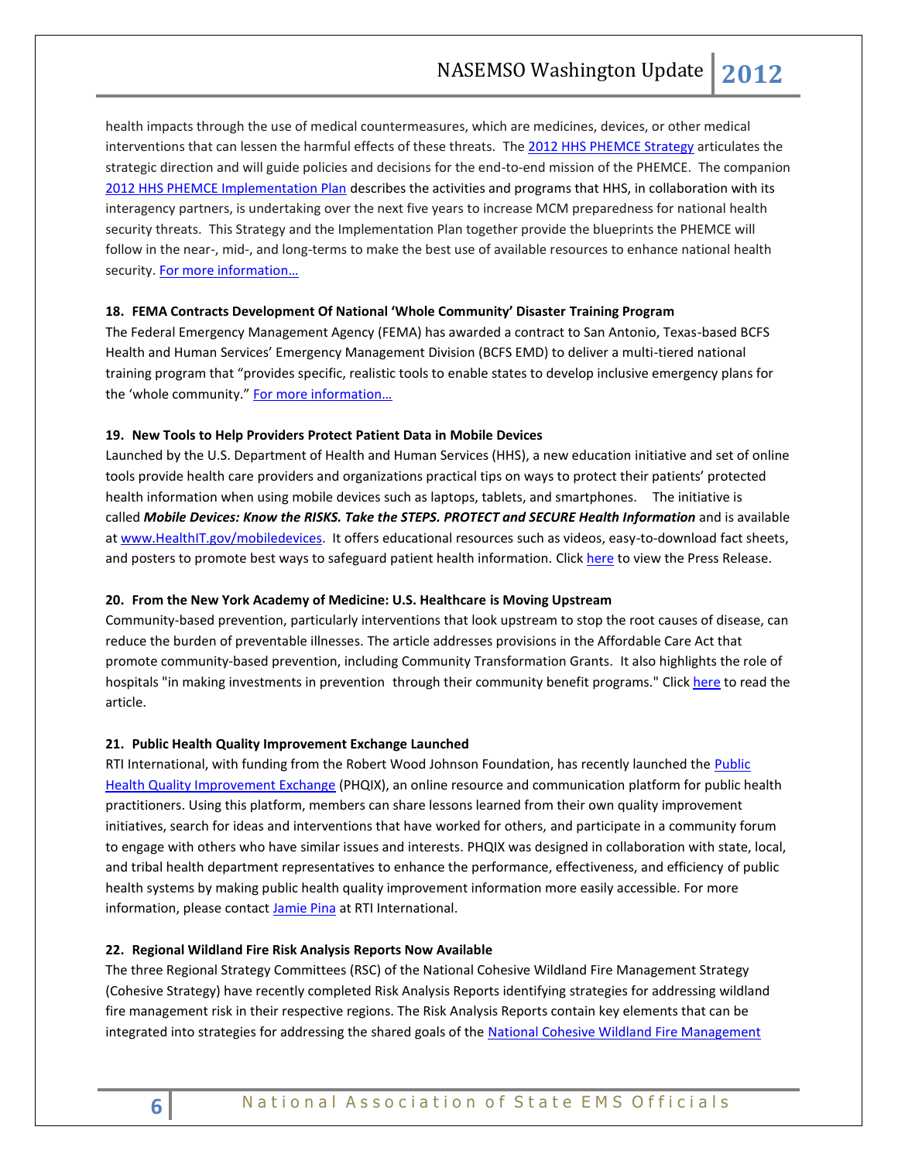health impacts through the use of medical countermeasures, which are medicines, devices, or other medical interventions that can lessen the harmful effects of these threats. The [2012 HHS PHEMCE Strategy](http://www.phe.gov/Preparedness/mcm/phemce/Documents/2012-PHEMCE-Strategy.pdf) articulates the strategic direction and will guide policies and decisions for the end-to-end mission of the PHEMCE. The companion [2012 HHS PHEMCE Implementation Plan](http://www.phe.gov/Preparedness/mcm/phemce/Documents/2012-PHEMCE-Implementation-Plan.pdf) describes the activities and programs that HHS, in collaboration with its interagency partners, is undertaking over the next five years to increase MCM preparedness for national health security threats. This Strategy and the Implementation Plan together provide the blueprints the PHEMCE will follow in the near-, mid-, and long-terms to make the best use of available resources to enhance national health security. For more information...

#### <span id="page-5-0"></span>**18. FEMA Contracts Development Of National 'Whole Community' Disaster Training Program**

The Federal Emergency Management Agency (FEMA) has awarded a contract to San Antonio, Texas-based BCFS Health and Human Services' Emergency Management Division (BCFS EMD) to deliver a multi-tiered national training program that "provides specific, realistic tools to enable states to develop inclusive emergency plans for the 'whole community." For more information...

#### <span id="page-5-2"></span><span id="page-5-1"></span>**19. New Tools to Help Providers Protect Patient Data in Mobile Devices**

Launched by the U.S. Department of Health and Human Services (HHS), a new education initiative and set of online tools provide health care providers and organizations practical tips on ways to protect their patients' protected health information when using mobile devices such as laptops, tablets, and smartphones. The initiative is called *Mobile Devices: Know the RISKS. Take the STEPS. PROTECT and SECURE Health Information* and is available at [www.HealthIT.gov/mobiledevices.](http://links.govdelivery.com/track?type=click&enid=ZWFzPTEmbWFpbGluZ2lkPTIwMTIxMjEyLjEzMzQxMTgxJm1lc3NhZ2VpZD1NREItUFJELUJVTC0yMDEyMTIxMi4xMzM0MTE4MSZkYXRhYmFzZWlkPTEwMDEmc2VyaWFsPTE3MzA5NjQ3JmVtYWlsaWQ9YWx0ZXJAbmFzZW1zby5vcmcmdXNlcmlkPWFsdGVyQG5hc2Vtc28ub3JnJmZsPSZleHRyYT1NdWx0aXZhcmlhdGVJZD0mJiY=&&&104&&&http://www.healthit.gov/mobiledevices) It offers educational resources such as videos, easy-to-download fact sheets, and posters to promote best ways to safeguard patient health information. Click [here](http://www.hhs.gov/news/press/2012pres/12/20121212a.html) to view the Press Release.

#### <span id="page-5-3"></span>**20. From the New York Academy of Medicine: U.S. Healthcare is Moving Upstream**

Community-based prevention, particularly interventions that look upstream to stop the root causes of disease, can reduce the burden of preventable illnesses. The article addresses provisions in the Affordable Care Act that promote community-based prevention, including Community Transformation Grants. It also highlights the role of hospitals "in making investments in prevention through their community benefit programs." Clic[k here](http://healthyamericans.org/health-issues/wp-content/uploads/2012/12/13_HP_JulyAugust_2012.pdf) to read the article.

#### <span id="page-5-4"></span>**21. Public Health Quality Improvement Exchange Launched**

RTI International, with funding from the Robert Wood Johnson Foundation, has recently launched the Public [Health Quality Improvement Exchange](http://www.phqix.org/) (PHQIX), an online resource and communication platform for public health practitioners. Using this platform, members can share lessons learned from their own quality improvement initiatives, search for ideas and interventions that have worked for others, and participate in a community forum to engage with others who have similar issues and interests. PHQIX was designed in collaboration with state, local, and tribal health department representatives to enhance the performance, effectiveness, and efficiency of public health systems by making public health quality improvement information more easily accessible. For more information, please contact **Jamie Pina** at RTI International.

#### <span id="page-5-5"></span>**22. Regional Wildland Fire Risk Analysis Reports Now Available**

The three Regional Strategy Committees (RSC) of the National Cohesive Wildland Fire Management Strategy (Cohesive Strategy) have recently completed Risk Analysis Reports identifying strategies for addressing wildland fire management risk in their respective regions. The Risk Analysis Reports contain key elements that can be integrated into strategies for addressing the shared goals of the National Cohesive Wildland Fire Management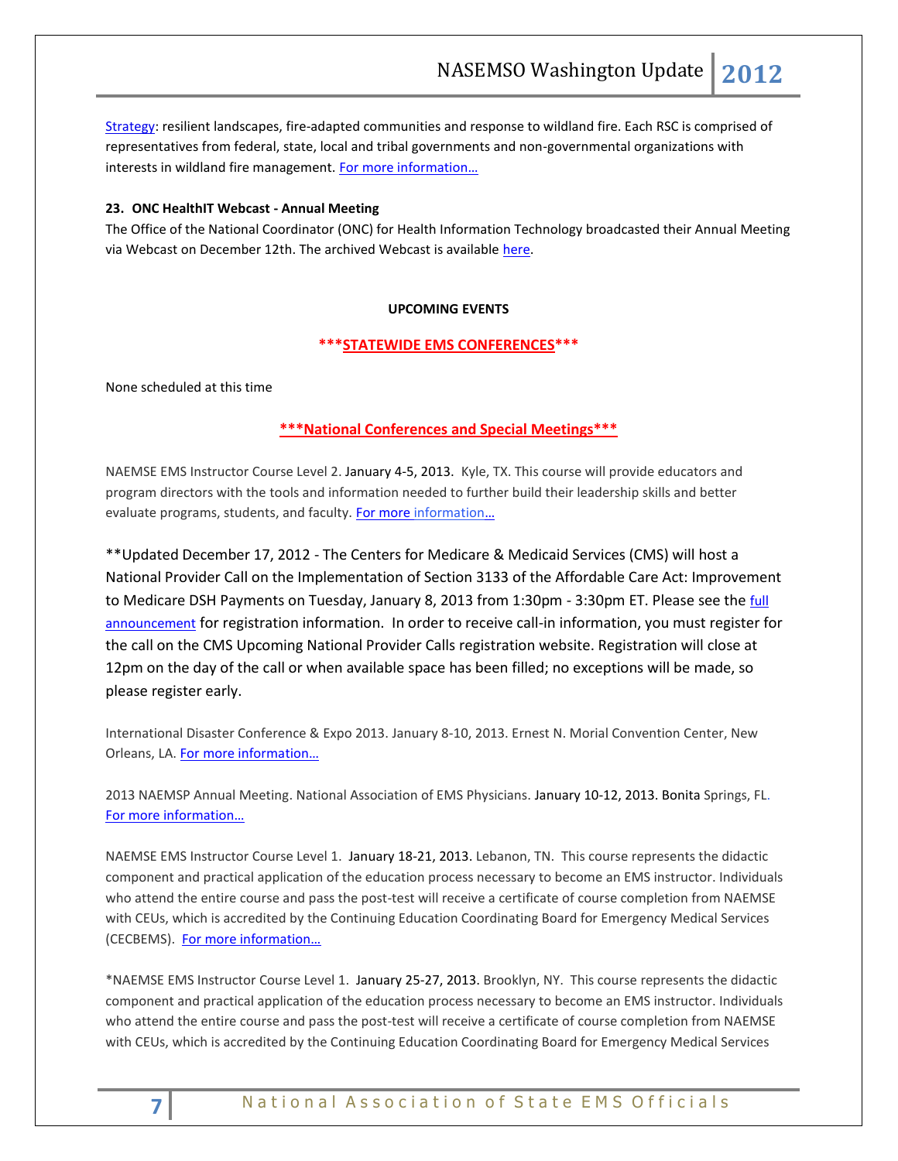[Strategy:](http://links.govdelivery.com/track?type=click&enid=ZWFzPTEmbWFpbGluZ2lkPTIwMTIxMjA1LjEyOTk1NjExJm1lc3NhZ2VpZD1NREItUFJELUJVTC0yMDEyMTIwNS4xMjk5NTYxMSZkYXRhYmFzZWlkPTEwMDEmc2VyaWFsPTE3Mjk5Mzk4JmVtYWlsaWQ9YWx0ZXJAbmFzZW1zby5vcmcmdXNlcmlkPWFsdGVyQG5hc2Vtc28ub3JnJmZsPSZleHRyYT1NdWx0aXZhcmlhdGVJZD0mJiY=&&&102&&&http://www.forestsandrangelands.gov/strategy/index.shtml) resilient landscapes, fire-adapted communities and response to wildland fire. Each RSC is comprised of representatives from federal, state, local and tribal governments and non-governmental organizations with interests in wildland fire management. For more information...

#### <span id="page-6-1"></span><span id="page-6-0"></span>**23. ONC HealthIT Webcast - Annual Meeting**

The Office of the National Coordinator (ONC) for Health Information Technology broadcasted their Annual Meeting via Webcast on December 12th. The archived Webcast is available [here.](http://www.healthit.gov/oncmeeting/webcast/)

#### **UPCOMING EVENTS**

#### <span id="page-6-2"></span>**\*\*\*STATEWIDE EMS CONFERENCES\*\*\***

<span id="page-6-3"></span>None scheduled at this time

#### **\*\*\*National Conferences and Special Meetings\*\*\***

NAEMSE EMS Instructor Course Level 2. January 4-5, 2013. Kyle, TX. This course will provide educators and program directors with the tools and information needed to further build their leadership skills and better evaluate programs, students, and faculty. [For more information](http://www.naemse.org/instructor-course/)...

\*\*Updated December 17, 2012 - The Centers for Medicare & Medicaid Services (CMS) will host a National Provider Call on the Implementation of Section 3133 of the Affordable Care Act: Improvement to Medicare DSH Payments on Tuesday, January 8, 2013 from 1:30pm - 3:30pm ET. Please see the full [announcement](http://www.cms.gov/Outreach-and-Education/Outreach/OpenDoorForums/Downloads/1813NPCSection3133.pdf) for registration information. In order to receive call-in information, you must register for the call on the CMS Upcoming National Provider Calls registration website. Registration will close at 12pm on the day of the call or when available space has been filled; no exceptions will be made, so please register early.

International Disaster Conference & Expo 2013. January 8-10, 2013. Ernest N. Morial Convention Center, New Orleans, LA. [For more information…](http://www.internationaldisasterconference.com/expo.html)

2013 NAEMSP Annual Meeting. National Association of EMS Physicians. January 10-12, 2013. Bonita Springs, FL. [For more information…](http://www.naemsp.org/Pages/Annual-Meeting.aspx)

NAEMSE EMS Instructor Course Level 1. January 18-21, 2013. Lebanon, TN. This course represents the didactic component and practical application of the education process necessary to become an EMS instructor. Individuals who attend the entire course and pass the post-test will receive a certificate of course completion from NAEMSE with CEUs, which is accredited by the Continuing Education Coordinating Board for Emergency Medical Services (CECBEMS). [For more information…](http://www.naemse.org/instructor-course/)

\*NAEMSE EMS Instructor Course Level 1. January 25-27, 2013. Brooklyn, NY. This course represents the didactic component and practical application of the education process necessary to become an EMS instructor. Individuals who attend the entire course and pass the post-test will receive a certificate of course completion from NAEMSE with CEUs, which is accredited by the Continuing Education Coordinating Board for Emergency Medical Services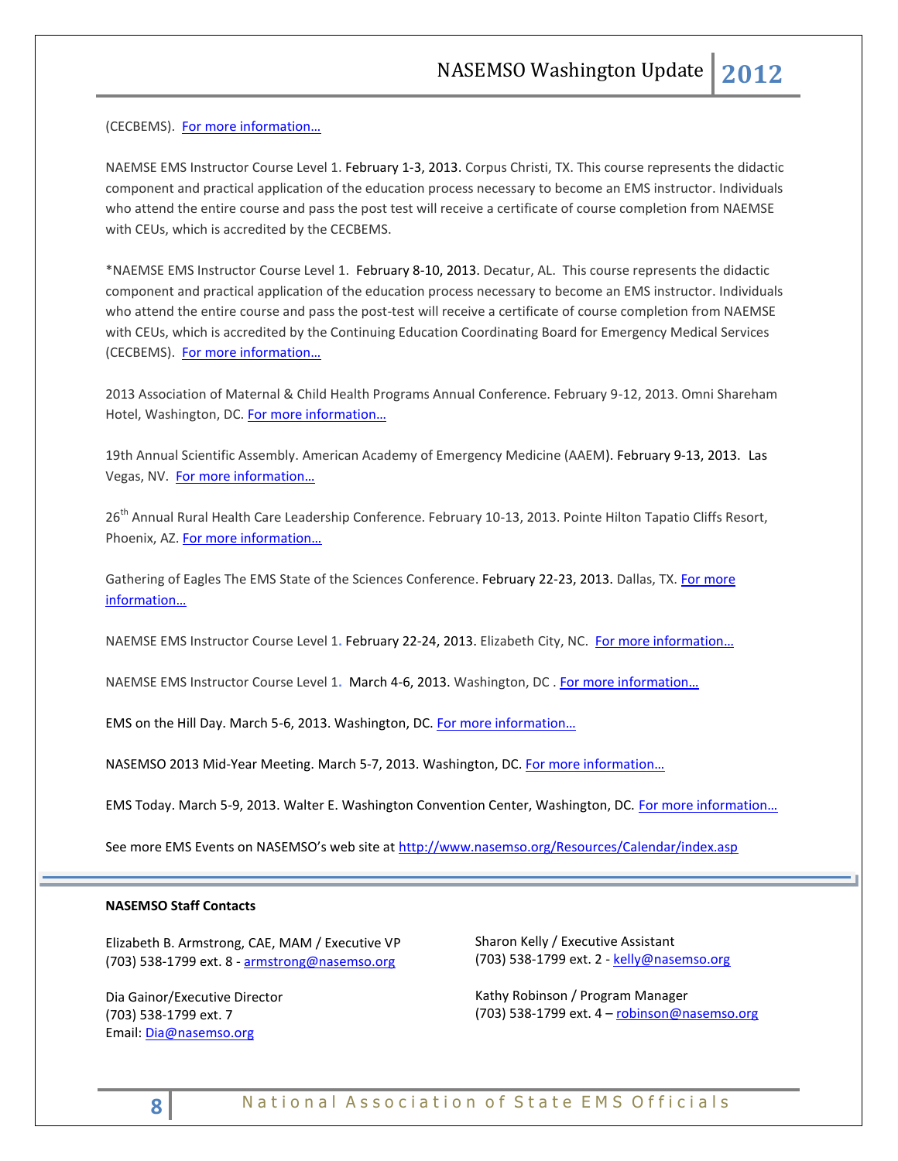(CECBEMS). [For more information…](http://www.naemse.org/instructor-course/)

NAEMSE EMS Instructor Course Level 1. February 1-3, 2013. Corpus Christi, TX. This course represents the didactic component and practical application of the education process necessary to become an EMS instructor. Individuals who attend the entire course and pass the post test will receive a certificate of course completion from NAEMSE with CEUs, which is accredited by the CECBEMS.

\*NAEMSE EMS Instructor Course Level 1. February 8-10, 2013. Decatur, AL. This course represents the didactic component and practical application of the education process necessary to become an EMS instructor. Individuals who attend the entire course and pass the post-test will receive a certificate of course completion from NAEMSE with CEUs, which is accredited by the Continuing Education Coordinating Board for Emergency Medical Services (CECBEMS). [For more information…](http://www.naemse.org/instructor-course/)

2013 Association of Maternal & Child Health Programs Annual Conference. February 9-12, 2013. Omni Shareham Hotel, Washington, DC. [For more information…](http://www.amchp.org/Calendar/Conferences/amchp-conference/Pages/default.aspx)

19th Annual Scientific Assembly. American Academy of Emergency Medicine (AAEM). February 9-13, 2013. Las Vegas, NV. For more information...

26<sup>th</sup> Annual Rural Health Care Leadership Conference. February 10-13, 2013. Pointe Hilton Tapatio Cliffs Resort, Phoenix, AZ. For more information...

Gathering of Eagles The EMS State of the Sciences Conference. February 22-23, 2013. Dallas, TX. For more [information…](http://gatheringofeagles.us/)

NAEMSE EMS Instructor Course Level 1**.** February 22-24, 2013. Elizabeth City, NC. [For more information…](http://www.naemse.org/instructor-course/) 

NAEMSE EMS Instructor Course Level 1**.** March 4-6, 2013. Washington, DC . [For more information…](http://www.naemse.org/instructor-course/)

EMS on the Hill Day. March 5-6, 2013. Washington, DC. For more information...

NASEMSO 2013 Mid-Year Meeting. March 5-7, 2013. Washington, DC. For more information...

EMS Today. March 5-9, 2013. Walter E. Washington Convention Center, Washington, DC. For more information...

See more EMS Events on NASEMSO's web site at <http://www.nasemso.org/Resources/Calendar/index.asp>

#### **NASEMSO Staff Contacts**

Elizabeth B. Armstrong, CAE, MAM / Executive VP (703) 538-1799 ext. 8 - [armstrong@nasemso.org](mailto:armstrong@nasemso.org)

Dia Gainor/Executive Director (703) 538-1799 ext. 7 Email: [Dia@nasemso.org](mailto:Dia@nasemso.org)

Sharon Kelly / Executive Assistant (703) 538-1799 ext. 2 - [kelly@nasemso.org](mailto:kelly@nasemso.org)

Kathy Robinson / Program Manager (703) 538-1799 ext. 4 - [robinson@nasemso.org](mailto:robinson@nasemso.org)